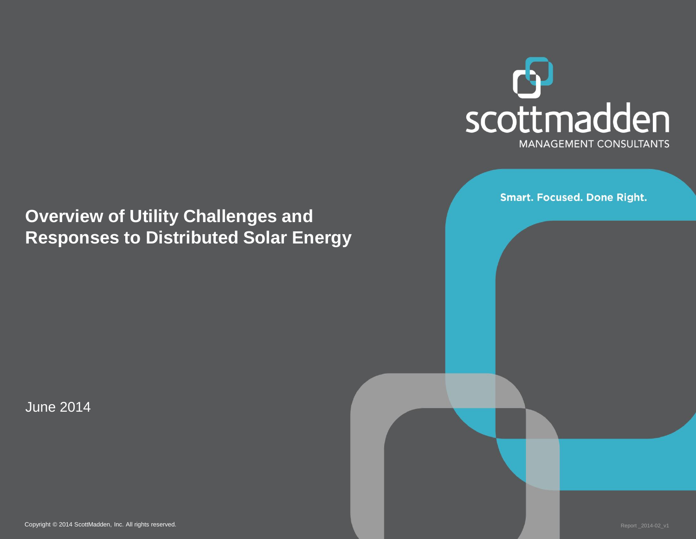

**Smart. Focused. Done Right.** 

### **Overview of Utility Challenges and Responses to Distributed Solar Energy**

June 2014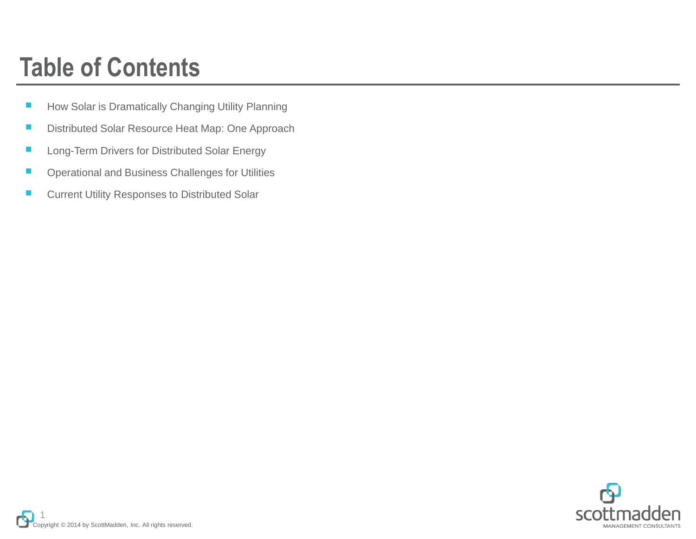### **Table of Contents**

- How Solar is Dramatically Changing Utility Planning
- Distributed Solar Resource Heat Map: One Approach
- Long-Term Drivers for Distributed Solar Energy
- Operational and Business Challenges for Utilities
- Current Utility Responses to Distributed Solar

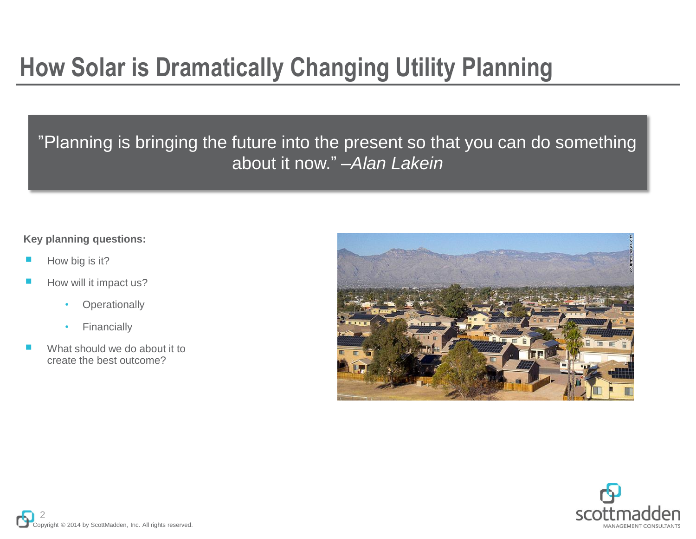### **How Solar is Dramatically Changing Utility Planning**

"Planning is bringing the future into the present so that you can do something about it now." –*Alan Lakein*

#### **Key planning questions:**

- How big is it?
- How will it impact us?
	- **Operationally**
	- **Financially**
- What should we do about it to create the best outcome?



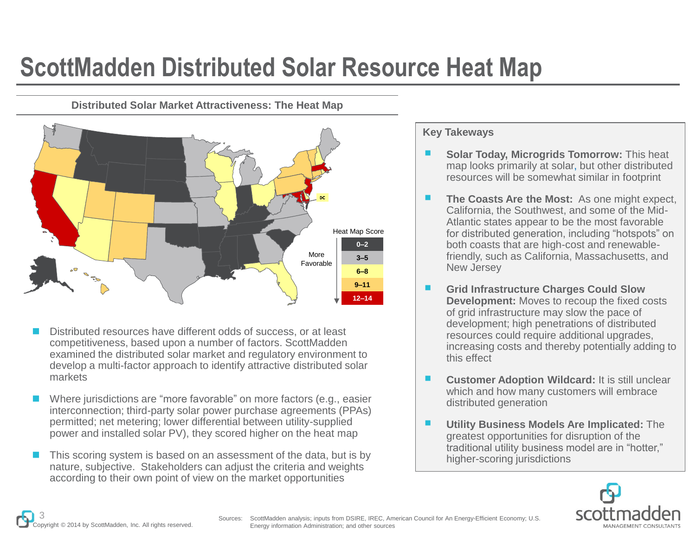### **ScottMadden Distributed Solar Resource Heat Map**

**Distributed Solar Market Attractiveness: The Heat Map**



- Distributed resources have different odds of success, or at least competitiveness, based upon a number of factors. ScottMadden examined the distributed solar market and regulatory environment to develop a multi-factor approach to identify attractive distributed solar markets
- Where jurisdictions are "more favorable" on more factors (e.g., easier interconnection; third-party solar power purchase agreements (PPAs) permitted; net metering; lower differential between utility-supplied power and installed solar PV), they scored higher on the heat map
- $\blacksquare$  This scoring system is based on an assessment of the data, but is by nature, subjective. Stakeholders can adjust the criteria and weights according to their own point of view on the market opportunities

#### **Key Takeways**

- **Solar Today, Microgrids Tomorrow: This heat** map looks primarily at solar, but other distributed resources will be somewhat similar in footprint
- **The Coasts Are the Most:** As one might expect, California, the Southwest, and some of the Mid-Atlantic states appear to be the most favorable for distributed generation, including "hotspots" on both coasts that are high-cost and renewablefriendly, such as California, Massachusetts, and New Jersey
- **Grid Infrastructure Charges Could Slow Development:** Moves to recoup the fixed costs of grid infrastructure may slow the pace of development; high penetrations of distributed resources could require additional upgrades, increasing costs and thereby potentially adding to this effect
- **Customer Adoption Wildcard:** It is still unclear which and how many customers will embrace distributed generation
- **Utility Business Models Are Implicated:** The greatest opportunities for disruption of the traditional utility business model are in "hotter," higher-scoring jurisdictions

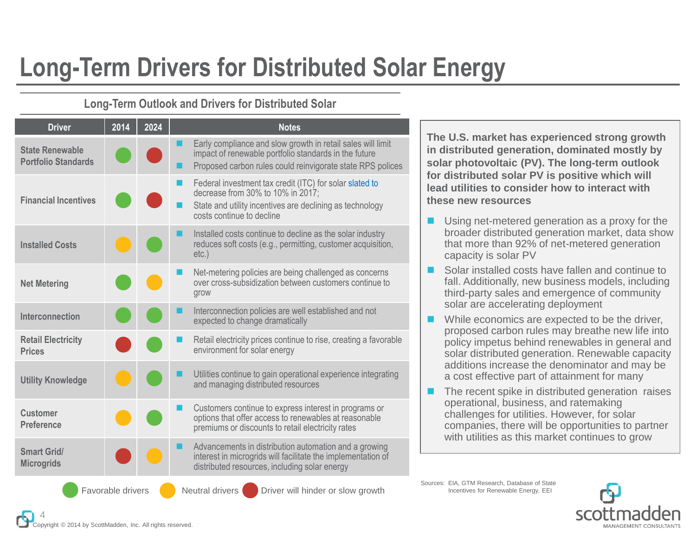## **Long-Term Drivers for Distributed Solar Energy**

#### **Long-Term Outlook and Drivers for Distributed Solar**

| <b>Driver</b>                                        | 2014 | 2024 | <b>Notes</b>                                                                                                                                                                          |
|------------------------------------------------------|------|------|---------------------------------------------------------------------------------------------------------------------------------------------------------------------------------------|
| <b>State Renewable</b><br><b>Portfolio Standards</b> |      |      | Early compliance and slow growth in retail sales will limit<br>impact of renewable portfolio standards in the future<br>Proposed carbon rules could reinvigorate state RPS polices    |
| <b>Financial Incentives</b>                          |      |      | Federal investment tax credit (ITC) for solar slated to<br>decrease from 30% to 10% in 2017;<br>State and utility incentives are declining as technology<br>costs continue to decline |
| <b>Installed Costs</b>                               |      |      | Installed costs continue to decline as the solar industry<br>reduces soft costs (e.g., permitting, customer acquisition,<br>$etc.$ )                                                  |
| <b>Net Metering</b>                                  |      |      | Net-metering policies are being challenged as concerns<br>over cross-subsidization between customers continue to<br>grow                                                              |
| Interconnection                                      |      |      | Interconnection policies are well established and not<br>expected to change dramatically                                                                                              |
| <b>Retail Electricity</b><br><b>Prices</b>           |      |      | Retail electricity prices continue to rise, creating a favorable<br>environment for solar energy                                                                                      |
| <b>Utility Knowledge</b>                             |      |      | Utilities continue to gain operational experience integrating<br>and managing distributed resources                                                                                   |
| <b>Customer</b><br><b>Preference</b>                 |      |      | Customers continue to express interest in programs or<br>options that offer access to renewables at reasonable<br>premiums or discounts to retail electricity rates                   |
| Smart Grid/<br><b>Microgrids</b>                     |      |      | Advancements in distribution automation and a growing<br>interest in microgrids will facilitate the implementation of<br>distributed resources, including solar energy                |
|                                                      |      |      |                                                                                                                                                                                       |

**The U.S. market has experienced strong growth in distributed generation, dominated mostly by solar photovoltaic (PV). The long-term outlook for distributed solar PV is positive which will lead utilities to consider how to interact with these new resources**

- Using net-metered generation as a proxy for the broader distributed generation market, data show that more than 92% of net-metered generation capacity is solar PV
- Solar installed costs have fallen and continue to fall. Additionally, new business models, including third-party sales and emergence of community solar are accelerating deployment
- While economics are expected to be the driver, proposed carbon rules may breathe new life into policy impetus behind renewables in general and solar distributed generation. Renewable capacity additions increase the denominator and may be a cost effective part of attainment for many
- The recent spike in distributed generation raises operational, business, and ratemaking challenges for utilities. However, for solar companies, there will be opportunities to partner with utilities as this market continues to grow

Sources: EIA, GTM Research, Database of State Favorable drivers **Neutral drivers Drivers** Driver will hinder or slow growth Incentives for Renewable Energy, EEI

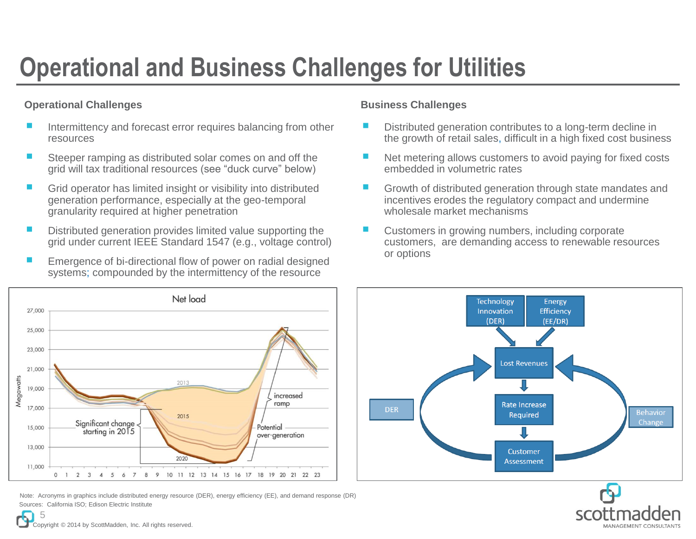# **Operational and Business Challenges for Utilities**

#### **Operational Challenges**

- Intermittency and forecast error requires balancing from other resources
- Steeper ramping as distributed solar comes on and off the grid will tax traditional resources (see "duck curve" below)
- Grid operator has limited insight or visibility into distributed generation performance, especially at the geo-temporal granularity required at higher penetration
- Distributed generation provides limited value supporting the grid under current IEEE Standard 1547 (e.g., voltage control)
- Emergence of bi-directional flow of power on radial designed systems; compounded by the intermittency of the resource

#### **Business Challenges**

- Distributed generation contributes to a long-term decline in the growth of retail sales, difficult in a high fixed cost business
- Net metering allows customers to avoid paying for fixed costs embedded in volumetric rates
- Growth of distributed generation through state mandates and incentives erodes the regulatory compact and undermine wholesale market mechanisms
- Customers in growing numbers, including corporate customers, are demanding access to renewable resources or options



Sources: California ISO; Edison Electric Institute Note: Acronyms in graphics include distributed energy resource (DER), energy efficiency (EE), and demand response (DR)



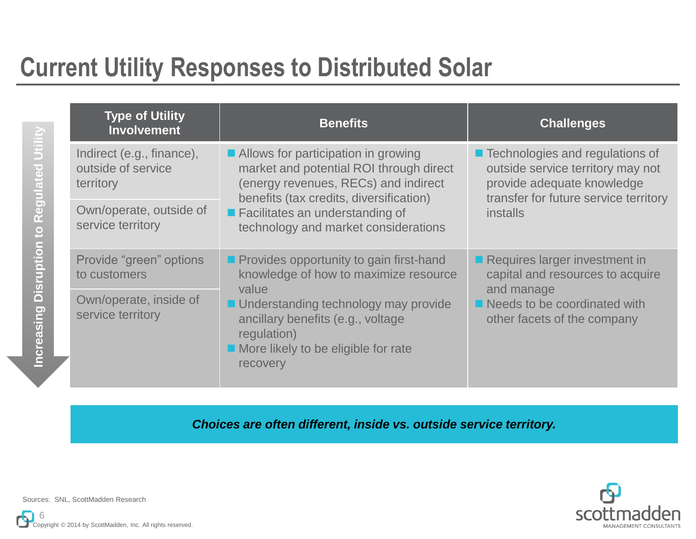### **Current Utility Responses to Distributed Solar**

| <b>Type of Utility</b><br><b>Involvement</b>                 | <b>Benefits</b>                                                                                                                                                       | <b>Challenges</b>                                                                                                                                                |
|--------------------------------------------------------------|-----------------------------------------------------------------------------------------------------------------------------------------------------------------------|------------------------------------------------------------------------------------------------------------------------------------------------------------------|
| Indirect (e.g., finance),<br>outside of service<br>territory | Allows for participation in growing<br>market and potential ROI through direct<br>(energy revenues, RECs) and indirect<br>benefits (tax credits, diversification)     | ■ Technologies and regulations of<br>outside service territory may not<br>provide adequate knowledge<br>transfer for future service territory<br><i>installs</i> |
| Own/operate, outside of<br>service territory                 | ■ Facilitates an understanding of<br>technology and market considerations                                                                                             |                                                                                                                                                                  |
| Provide "green" options<br>to customers                      | <b>Provides opportunity to gain first-hand</b><br>knowledge of how to maximize resource                                                                               | $\blacksquare$ Requires larger investment in<br>capital and resources to acquire                                                                                 |
| Own/operate, inside of<br>service territory                  | value<br>■ Understanding technology may provide<br>ancillary benefits (e.g., voltage<br>regulation)<br>$\blacksquare$ More likely to be eligible for rate<br>recovery | and manage<br>$\blacksquare$ Needs to be coordinated with<br>other facets of the company                                                                         |

*Choices are often different, inside vs. outside service territory.*



Sources: SNL, ScottMadden Research

**Increasing Disruption to Regulated Utility**

Increasing Disruption to Regulated Utili